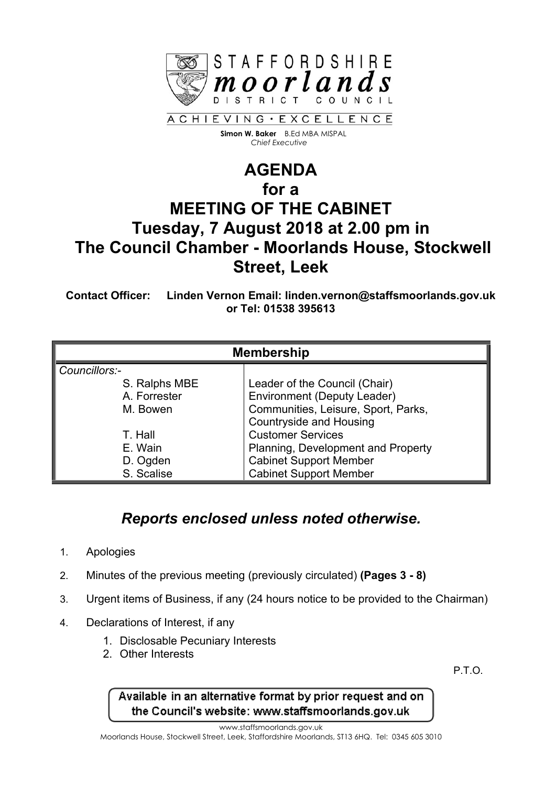

 **Simon W. Baker** B.Ed MBA MISPAL  *Chief Executive*

## **AGENDA for a MEETING OF THE CABINET Tuesday, 7 August 2018 at 2.00 pm in The Council Chamber - Moorlands House, Stockwell Street, Leek**

**Contact Officer: Linden Vernon Email: linden.vernon@staffsmoorlands.gov.uk or Tel: 01538 395613**

| <b>Membership</b> |                                     |
|-------------------|-------------------------------------|
| Councillors:-     |                                     |
| S. Ralphs MBE     | Leader of the Council (Chair)       |
| A. Forrester      | <b>Environment (Deputy Leader)</b>  |
| M. Bowen          | Communities, Leisure, Sport, Parks, |
|                   | <b>Countryside and Housing</b>      |
| T. Hall           | <b>Customer Services</b>            |
| E. Wain           | Planning, Development and Property  |
| D. Ogden          | <b>Cabinet Support Member</b>       |
| S. Scalise        | <b>Cabinet Support Member</b>       |

## *Reports enclosed unless noted otherwise.*

- 1. Apologies
- 2. Minutes of the previous meeting (previously circulated) **(Pages 3 - 8)**
- 3. Urgent items of Business, if any (24 hours notice to be provided to the Chairman)
- 4. Declarations of Interest, if any
	- 1. Disclosable Pecuniary Interests
	- 2. Other Interests

P.T.O.

## Available in an alternative format by prior request and on the Council's website: www.staffsmoorlands.gov.uk

www.staffsmoorlands.gov.uk

Moorlands House, Stockwell Street, Leek, Staffordshire Moorlands, ST13 6HQ. Tel: 0345 605 3010